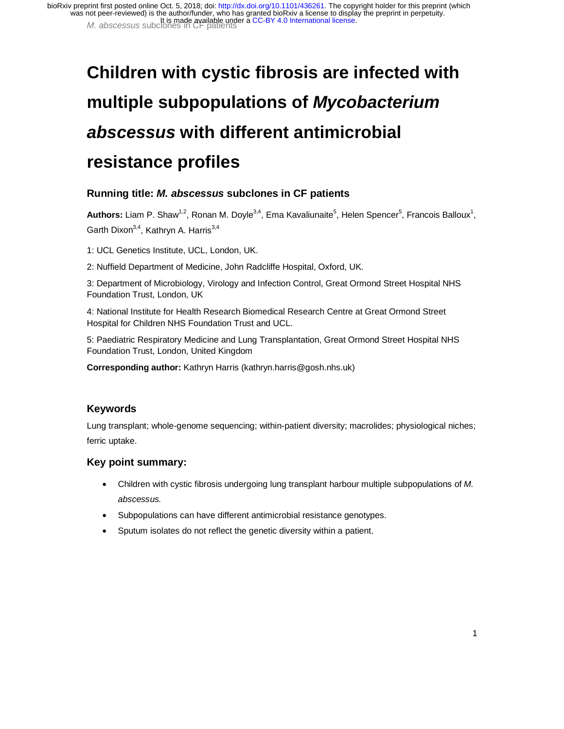# **Children with cystic fibrosis are infected with multiple subpopulations of** *Mycobacterium abscessus* **with different antimicrobial resistance profiles**

## **Running title:** *M. abscessus* **subclones in CF patients**

Authors: Liam P. Shaw<sup>1,2</sup>, Ronan M. Doyle<sup>3,4</sup>, Ema Kavaliunaite<sup>5</sup>, Helen Spencer<sup>5</sup>, Francois Balloux<sup>1</sup>, Garth Dixon<sup>3,4</sup>, Kathryn A. Harris<sup>3,4</sup>

1: UCL Genetics Institute, UCL, London, UK.

2: Nuffield Department of Medicine, John Radcliffe Hospital, Oxford, UK.

3: Department of Microbiology, Virology and Infection Control, Great Ormond Street Hospital NHS Foundation Trust, London, UK

4: National Institute for Health Research Biomedical Research Centre at Great Ormond Street Hospital for Children NHS Foundation Trust and UCL.

5: Paediatric Respiratory Medicine and Lung Transplantation, Great Ormond Street Hospital NHS Foundation Trust, London, United Kingdom

**Corresponding author:** Kathryn Harris (kathryn.harris@gosh.nhs.uk)

### **Keywords**

Lung transplant; whole-genome sequencing; within-patient diversity; macrolides; physiological niches; ferric uptake.

#### **Key point summary:**

- Children with cystic fibrosis undergoing lung transplant harbour multiple subpopulations of *M. abscessus.*
- Subpopulations can have different antimicrobial resistance genotypes.
- Sputum isolates do not reflect the genetic diversity within a patient.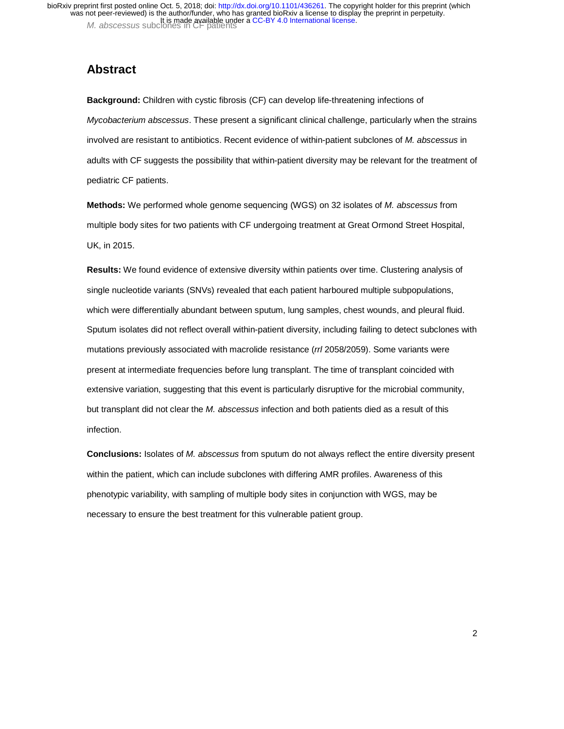# **Abstract**

**Background:** Children with cystic fibrosis (CF) can develop life-threatening infections of *Mycobacterium abscessus*. These present a significant clinical challenge, particularly when the strains involved are resistant to antibiotics. Recent evidence of within-patient subclones of *M. abscessus* in adults with CF suggests the possibility that within-patient diversity may be relevant for the treatment of pediatric CF patients.

**Methods:** We performed whole genome sequencing (WGS) on 32 isolates of *M. abscessus* from multiple body sites for two patients with CF undergoing treatment at Great Ormond Street Hospital, UK, in 2015.

**Results:** We found evidence of extensive diversity within patients over time. Clustering analysis of single nucleotide variants (SNVs) revealed that each patient harboured multiple subpopulations, which were differentially abundant between sputum, lung samples, chest wounds, and pleural fluid. Sputum isolates did not reflect overall within-patient diversity, including failing to detect subclones with mutations previously associated with macrolide resistance (*rrl* 2058/2059). Some variants were present at intermediate frequencies before lung transplant. The time of transplant coincided with extensive variation, suggesting that this event is particularly disruptive for the microbial community, but transplant did not clear the *M. abscessus* infection and both patients died as a result of this infection.

**Conclusions:** Isolates of *M. abscessus* from sputum do not always reflect the entire diversity present within the patient, which can include subclones with differing AMR profiles. Awareness of this phenotypic variability, with sampling of multiple body sites in conjunction with WGS, may be necessary to ensure the best treatment for this vulnerable patient group.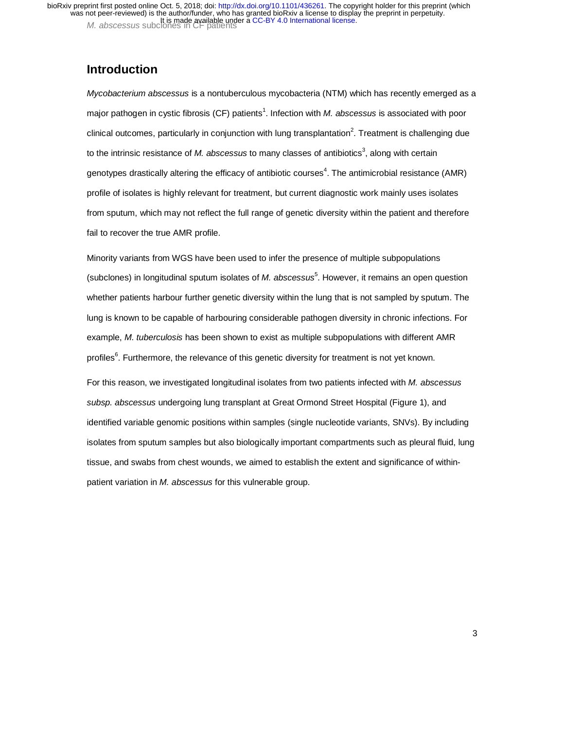## **Introduction**

*Mycobacterium abscessus* is a nontuberculous mycobacteria (NTM) which has recently emerged as a major pathogen in cystic fibrosis (CF) patients<sup>1</sup>. Infection with *M. abscessus* is associated with poor clinical outcomes, particularly in conjunction with lung transplantation<sup>2</sup>. Treatment is challenging due to the intrinsic resistance of *M. abscessus* to many classes of antibiotics<sup>3</sup>, along with certain genotypes drastically altering the efficacy of antibiotic courses<sup>4</sup>. The antimicrobial resistance (AMR) profile of isolates is highly relevant for treatment, but current diagnostic work mainly uses isolates from sputum, which may not reflect the full range of genetic diversity within the patient and therefore fail to recover the true AMR profile.

Minority variants from WGS have been used to infer the presence of multiple subpopulations (subclones) in longitudinal sputum isolates of *M. abscessus*<sup>5</sup>. However, it remains an open question whether patients harbour further genetic diversity within the lung that is not sampled by sputum. The lung is known to be capable of harbouring considerable pathogen diversity in chronic infections. For example, *M. tuberculosis* has been shown to exist as multiple subpopulations with different AMR profiles<sup>6</sup>. Furthermore, the relevance of this genetic diversity for treatment is not yet known.

For this reason, we investigated longitudinal isolates from two patients infected with *M. abscessus subsp. abscessus* undergoing lung transplant at Great Ormond Street Hospital (Figure 1), and identified variable genomic positions within samples (single nucleotide variants, SNVs). By including isolates from sputum samples but also biologically important compartments such as pleural fluid, lung tissue, and swabs from chest wounds, we aimed to establish the extent and significance of withinpatient variation in *M. abscessus* for this vulnerable group.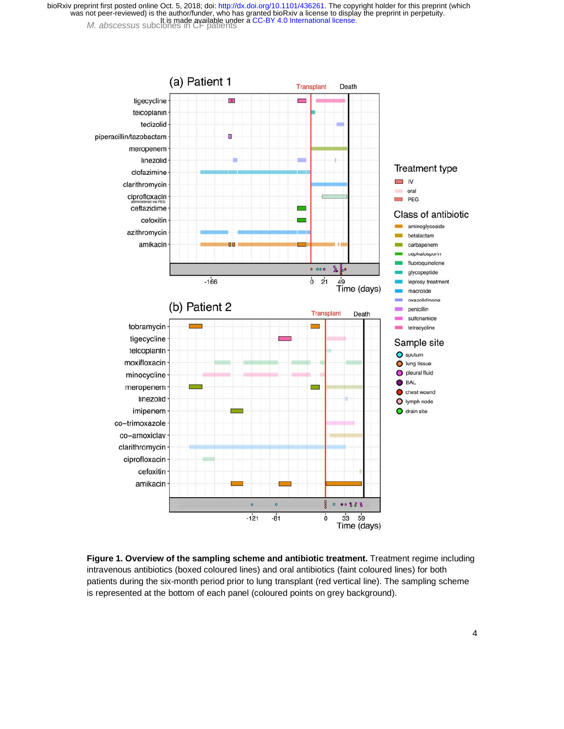

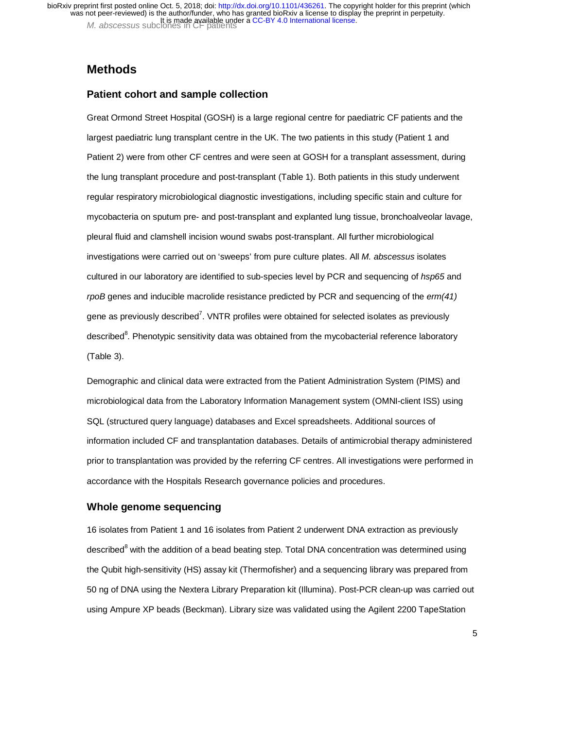## **Methods**

#### **Patient cohort and sample collection**

Great Ormond Street Hospital (GOSH) is a large regional centre for paediatric CF patients and the largest paediatric lung transplant centre in the UK. The two patients in this study (Patient 1 and Patient 2) were from other CF centres and were seen at GOSH for a transplant assessment, during the lung transplant procedure and post-transplant (Table 1). Both patients in this study underwent regular respiratory microbiological diagnostic investigations, including specific stain and culture for mycobacteria on sputum pre- and post-transplant and explanted lung tissue, bronchoalveolar lavage, pleural fluid and clamshell incision wound swabs post-transplant. All further microbiological investigations were carried out on 'sweeps' from pure culture plates. All *M. abscessus* isolates cultured in our laboratory are identified to sub-species level by PCR and sequencing of *hsp65* and *rpoB* genes and inducible macrolide resistance predicted by PCR and sequencing of the *erm(41)* gene as previously described<sup>7</sup>. VNTR profiles were obtained for selected isolates as previously described<sup>8</sup>. Phenotypic sensitivity data was obtained from the mycobacterial reference laboratory (Table 3).

Demographic and clinical data were extracted from the Patient Administration System (PIMS) and microbiological data from the Laboratory Information Management system (OMNI-client ISS) using SQL (structured query language) databases and Excel spreadsheets. Additional sources of information included CF and transplantation databases. Details of antimicrobial therapy administered prior to transplantation was provided by the referring CF centres. All investigations were performed in accordance with the Hospitals Research governance policies and procedures.

#### **Whole genome sequencing**

16 isolates from Patient 1 and 16 isolates from Patient 2 underwent DNA extraction as previously described<sup>8</sup> with the addition of a bead beating step. Total DNA concentration was determined using the Qubit high-sensitivity (HS) assay kit (Thermofisher) and a sequencing library was prepared from 50 ng of DNA using the Nextera Library Preparation kit (Illumina). Post-PCR clean-up was carried out using Ampure XP beads (Beckman). Library size was validated using the Agilent 2200 TapeStation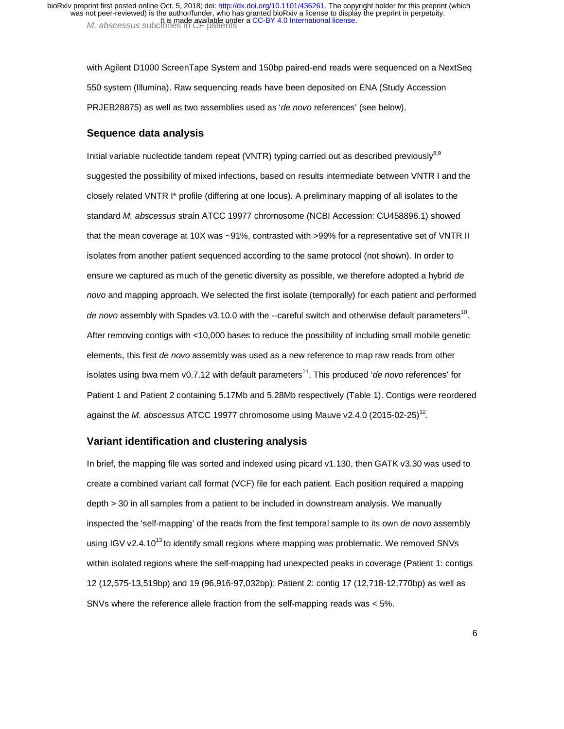with Agilent D1000 ScreenTape System and 150bp paired-end reads were sequenced on a NextSeq 550 system (Illumina). Raw sequencing reads have been deposited on ENA (Study Accession PRJEB28875) as well as two assemblies used as '*de novo* references' (see below).

#### **Sequence data analysis**

Initial variable nucleotide tandem repeat (VNTR) typing carried out as described previously<sup>8,9</sup> suggested the possibility of mixed infections, based on results intermediate between VNTR I and the closely related VNTR I\* profile (differing at one locus). A preliminary mapping of all isolates to the standard *M. abscessus* strain ATCC 19977 chromosome (NCBI Accession: CU458896.1) showed that the mean coverage at 10X was ~91%, contrasted with >99% for a representative set of VNTR II isolates from another patient sequenced according to the same protocol (not shown). In order to ensure we captured as much of the genetic diversity as possible, we therefore adopted a hybrid *de novo* and mapping approach. We selected the first isolate (temporally) for each patient and performed *de novo* assembly with Spades v3.10.0 with the --careful switch and otherwise default parameters<sup>10</sup>. After removing contigs with <10,000 bases to reduce the possibility of including small mobile genetic elements, this first *de novo* assembly was used as a new reference to map raw reads from other isolates using bwa mem v0.7.12 with default parameters<sup>11</sup>. This produced '*de novo* references' for Patient 1 and Patient 2 containing 5.17Mb and 5.28Mb respectively (Table 1). Contigs were reordered against the *M. abscessus* ATCC 19977 chromosome using Mauve v2.4.0 (2015-02-25)12.

#### **Variant identification and clustering analysis**

In brief, the mapping file was sorted and indexed using picard v1.130, then GATK v3.30 was used to create a combined variant call format (VCF) file for each patient. Each position required a mapping depth > 30 in all samples from a patient to be included in downstream analysis. We manually inspected the 'self-mapping' of the reads from the first temporal sample to its own *de novo* assembly using IGV v2.4.10<sup>13</sup> to identify small regions where mapping was problematic. We removed SNVs within isolated regions where the self-mapping had unexpected peaks in coverage (Patient 1: contigs 12 (12,575-13,519bp) and 19 (96,916-97,032bp); Patient 2: contig 17 (12,718-12,770bp) as well as SNVs where the reference allele fraction from the self-mapping reads was < 5%.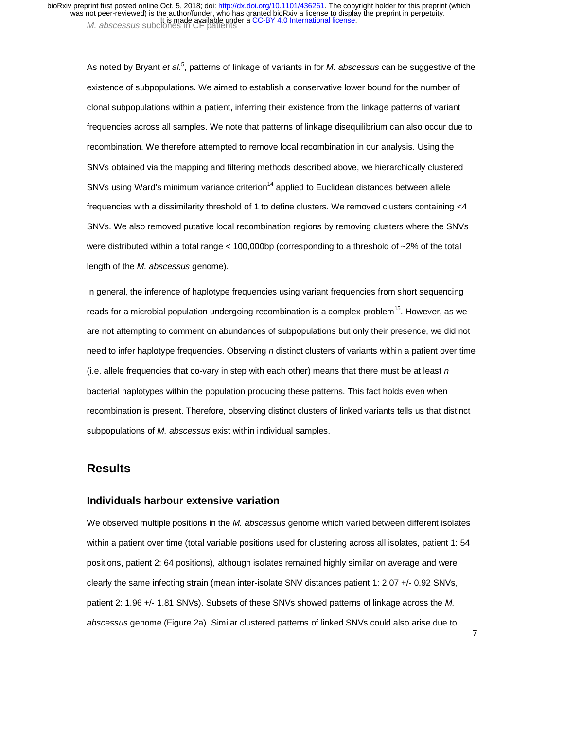As noted by Bryant *et al.*<sup>5</sup>, patterns of linkage of variants in for *M. abscessus* can be suggestive of the existence of subpopulations. We aimed to establish a conservative lower bound for the number of clonal subpopulations within a patient, inferring their existence from the linkage patterns of variant frequencies across all samples. We note that patterns of linkage disequilibrium can also occur due to recombination. We therefore attempted to remove local recombination in our analysis. Using the SNVs obtained via the mapping and filtering methods described above, we hierarchically clustered SNVs using Ward's minimum variance criterion<sup>14</sup> applied to Euclidean distances between allele frequencies with a dissimilarity threshold of 1 to define clusters. We removed clusters containing <4 SNVs. We also removed putative local recombination regions by removing clusters where the SNVs were distributed within a total range < 100,000bp (corresponding to a threshold of ~2% of the total length of the *M. abscessus* genome).

In general, the inference of haplotype frequencies using variant frequencies from short sequencing reads for a microbial population undergoing recombination is a complex problem<sup>15</sup>. However, as we are not attempting to comment on abundances of subpopulations but only their presence, we did not need to infer haplotype frequencies. Observing *n* distinct clusters of variants within a patient over time (i.e. allele frequencies that co-vary in step with each other) means that there must be at least *n*  bacterial haplotypes within the population producing these patterns. This fact holds even when recombination is present. Therefore, observing distinct clusters of linked variants tells us that distinct subpopulations of *M. abscessus* exist within individual samples.

## **Results**

#### **Individuals harbour extensive variation**

We observed multiple positions in the *M. abscessus* genome which varied between different isolates within a patient over time (total variable positions used for clustering across all isolates, patient 1: 54 positions, patient 2: 64 positions), although isolates remained highly similar on average and were clearly the same infecting strain (mean inter-isolate SNV distances patient 1: 2.07 +/- 0.92 SNVs, patient 2: 1.96 +/- 1.81 SNVs). Subsets of these SNVs showed patterns of linkage across the *M. abscessus* genome (Figure 2a). Similar clustered patterns of linked SNVs could also arise due to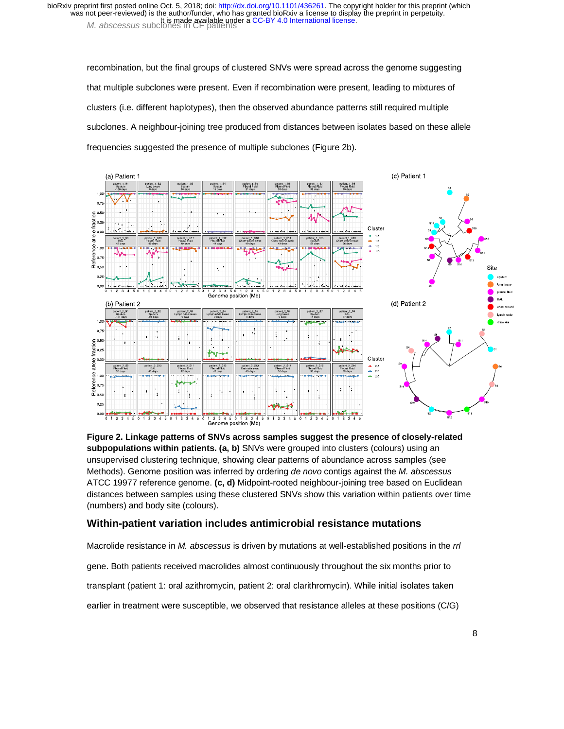recombination, but the final groups of clustered SNVs were spread across the genome suggesting that multiple subclones were present. Even if recombination were present, leading to mixtures of clusters (i.e. different haplotypes), then the observed abundance patterns still required multiple subclones. A neighbour-joining tree produced from distances between isolates based on these allele frequencies suggested the presence of multiple subclones (Figure 2b).



**Figure 2. Linkage patterns of SNVs across samples suggest the presence of closely-related subpopulations within patients. (a, b)** SNVs were grouped into clusters (colours) using an unsupervised clustering technique, showing clear patterns of abundance across samples (see Methods). Genome position was inferred by ordering *de novo* contigs against the *M. abscessus*  ATCC 19977 reference genome. **(c, d)** Midpoint-rooted neighbour-joining tree based on Euclidean distances between samples using these clustered SNVs show this variation within patients over time (numbers) and body site (colours).

#### **Within-patient variation includes antimicrobial resistance mutations**

Macrolide resistance in *M. abscessus* is driven by mutations at well-established positions in the *rrl*  gene. Both patients received macrolides almost continuously throughout the six months prior to transplant (patient 1: oral azithromycin, patient 2: oral clarithromycin). While initial isolates taken earlier in treatment were susceptible, we observed that resistance alleles at these positions (C/G)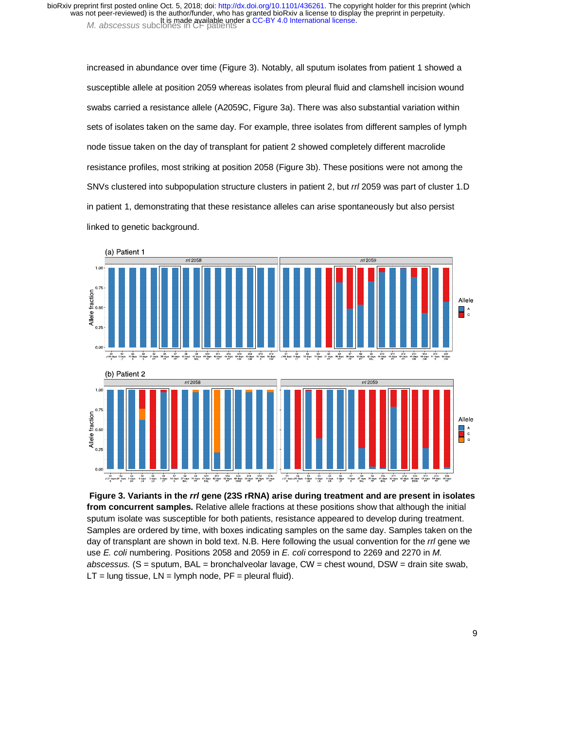increased in abundance over time (Figure 3). Notably, all sputum isolates from patient 1 showed a susceptible allele at position 2059 whereas isolates from pleural fluid and clamshell incision wound swabs carried a resistance allele (A2059C, Figure 3a). There was also substantial variation within sets of isolates taken on the same day. For example, three isolates from different samples of lymph node tissue taken on the day of transplant for patient 2 showed completely different macrolide resistance profiles, most striking at position 2058 (Figure 3b). These positions were not among the SNVs clustered into subpopulation structure clusters in patient 2, but *rrl* 2059 was part of cluster 1.D in patient 1, demonstrating that these resistance alleles can arise spontaneously but also persist linked to genetic background.



 **Figure 3. Variants in the** *rrl* **gene (23S rRNA) arise during treatment and are present in isolates from concurrent samples.** Relative allele fractions at these positions show that although the initial sputum isolate was susceptible for both patients, resistance appeared to develop during treatment. Samples are ordered by time, with boxes indicating samples on the same day. Samples taken on the day of transplant are shown in bold text. N.B. Here following the usual convention for the *rrl* gene we use *E. coli* numbering. Positions 2058 and 2059 in *E. coli* correspond to 2269 and 2270 in *M. abscessus.* (S = sputum, BAL = bronchalveolar lavage, CW = chest wound, DSW = drain site swab,  $LT =$  lung tissue,  $LN =$  lymph node,  $PF =$  pleural fluid).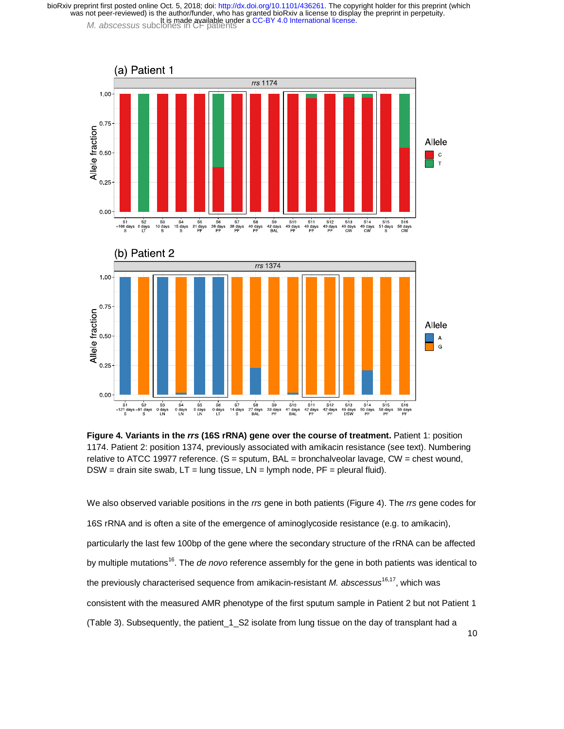



We also observed variable positions in the *rrs* gene in both patients (Figure 4). The *rrs* gene codes for 16S rRNA and is often a site of the emergence of aminoglycoside resistance (e.g. to amikacin), particularly the last few 100bp of the gene where the secondary structure of the rRNA can be affected by multiple mutations<sup>16</sup>. The *de novo* reference assembly for the gene in both patients was identical to the previously characterised sequence from amikacin-resistant *M. abscessus*16,17, which was consistent with the measured AMR phenotype of the first sputum sample in Patient 2 but not Patient 1 (Table 3). Subsequently, the patient\_1\_S2 isolate from lung tissue on the day of transplant had a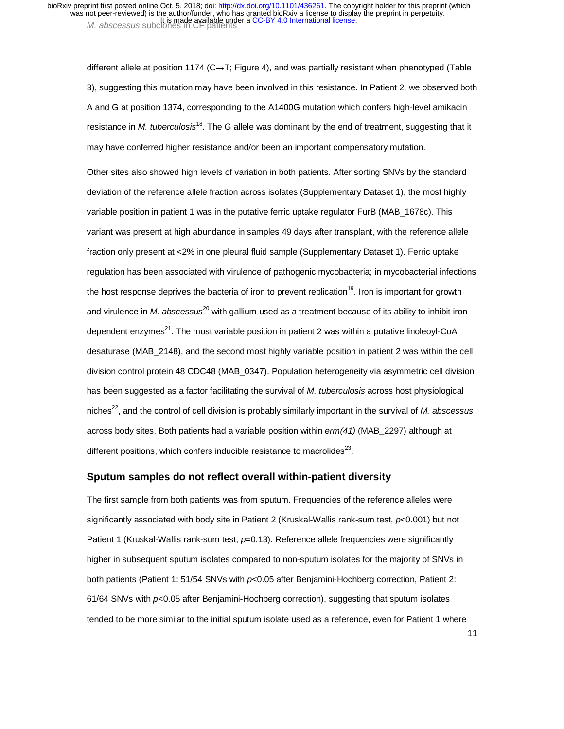different allele at position 1174 (C→T; Figure 4), and was partially resistant when phenotyped (Table 3), suggesting this mutation may have been involved in this resistance. In Patient 2, we observed both A and G at position 1374, corresponding to the A1400G mutation which confers high-level amikacin resistance in *M. tuberculosis*<sup>18</sup>. The G allele was dominant by the end of treatment, suggesting that it may have conferred higher resistance and/or been an important compensatory mutation.

Other sites also showed high levels of variation in both patients. After sorting SNVs by the standard deviation of the reference allele fraction across isolates (Supplementary Dataset 1), the most highly variable position in patient 1 was in the putative ferric uptake regulator FurB (MAB\_1678c). This variant was present at high abundance in samples 49 days after transplant, with the reference allele fraction only present at <2% in one pleural fluid sample (Supplementary Dataset 1). Ferric uptake regulation has been associated with virulence of pathogenic mycobacteria; in mycobacterial infections the host response deprives the bacteria of iron to prevent replication $19$ . Iron is important for growth and virulence in *M. abscessus<sup>20</sup>* with gallium used as a treatment because of its ability to inhibit irondependent enzymes $^{21}$ . The most variable position in patient 2 was within a putative linoleoyl-CoA desaturase (MAB\_2148), and the second most highly variable position in patient 2 was within the cell division control protein 48 CDC48 (MAB\_0347). Population heterogeneity via asymmetric cell division has been suggested as a factor facilitating the survival of *M. tuberculosis* across host physiological niches<sup>22</sup>, and the control of cell division is probably similarly important in the survival of *M. abscessus* across body sites. Both patients had a variable position within *erm(41)* (MAB\_2297) although at different positions, which confers inducible resistance to macrolides $^{23}$ .

#### **Sputum samples do not reflect overall within-patient diversity**

The first sample from both patients was from sputum. Frequencies of the reference alleles were significantly associated with body site in Patient 2 (Kruskal-Wallis rank-sum test, *p*<0.001) but not Patient 1 (Kruskal-Wallis rank-sum test,  $p=0.13$ ). Reference allele frequencies were significantly higher in subsequent sputum isolates compared to non-sputum isolates for the majority of SNVs in both patients (Patient 1: 51/54 SNVs with *p*<0.05 after Benjamini-Hochberg correction, Patient 2: 61/64 SNVs with *p*<0.05 after Benjamini-Hochberg correction), suggesting that sputum isolates tended to be more similar to the initial sputum isolate used as a reference, even for Patient 1 where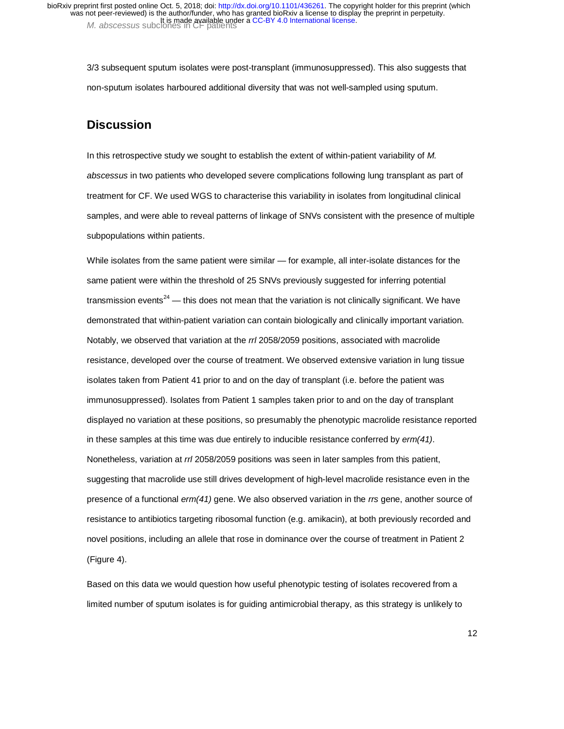3/3 subsequent sputum isolates were post-transplant (immunosuppressed). This also suggests that non-sputum isolates harboured additional diversity that was not well-sampled using sputum.

## **Discussion**

In this retrospective study we sought to establish the extent of within-patient variability of *M. abscessus* in two patients who developed severe complications following lung transplant as part of treatment for CF. We used WGS to characterise this variability in isolates from longitudinal clinical samples, and were able to reveal patterns of linkage of SNVs consistent with the presence of multiple subpopulations within patients.

While isolates from the same patient were similar — for example, all inter-isolate distances for the same patient were within the threshold of 25 SNVs previously suggested for inferring potential transmission events<sup>24</sup> — this does not mean that the variation is not clinically significant. We have demonstrated that within-patient variation can contain biologically and clinically important variation. Notably, we observed that variation at the *rrl* 2058/2059 positions, associated with macrolide resistance, developed over the course of treatment. We observed extensive variation in lung tissue isolates taken from Patient 41 prior to and on the day of transplant (i.e. before the patient was immunosuppressed). Isolates from Patient 1 samples taken prior to and on the day of transplant displayed no variation at these positions, so presumably the phenotypic macrolide resistance reported in these samples at this time was due entirely to inducible resistance conferred by *erm(41)*. Nonetheless, variation at *rrl* 2058/2059 positions was seen in later samples from this patient, suggesting that macrolide use still drives development of high-level macrolide resistance even in the presence of a functional *erm(41)* gene. We also observed variation in the *rrs* gene, another source of resistance to antibiotics targeting ribosomal function (e.g. amikacin), at both previously recorded and novel positions, including an allele that rose in dominance over the course of treatment in Patient 2 (Figure 4).

Based on this data we would question how useful phenotypic testing of isolates recovered from a limited number of sputum isolates is for guiding antimicrobial therapy, as this strategy is unlikely to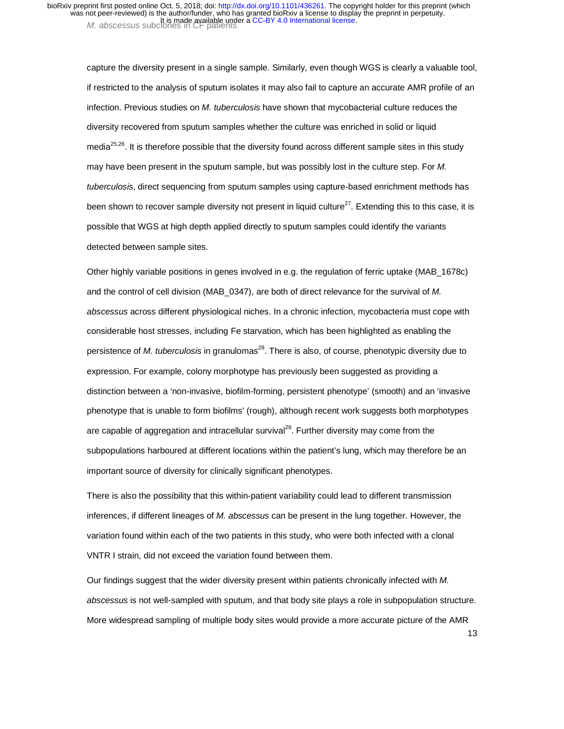capture the diversity present in a single sample. Similarly, even though WGS is clearly a valuable tool, if restricted to the analysis of sputum isolates it may also fail to capture an accurate AMR profile of an infection. Previous studies on *M. tuberculosis* have shown that mycobacterial culture reduces the diversity recovered from sputum samples whether the culture was enriched in solid or liquid media<sup>25,26</sup>. It is therefore possible that the diversity found across different sample sites in this study may have been present in the sputum sample, but was possibly lost in the culture step. For *M. tuberculosis*, direct sequencing from sputum samples using capture-based enrichment methods has been shown to recover sample diversity not present in liquid culture<sup>27</sup>. Extending this to this case, it is possible that WGS at high depth applied directly to sputum samples could identify the variants detected between sample sites.

Other highly variable positions in genes involved in e.g. the regulation of ferric uptake (MAB\_1678c) and the control of cell division (MAB\_0347), are both of direct relevance for the survival of *M. abscessus* across different physiological niches. In a chronic infection, mycobacteria must cope with considerable host stresses, including Fe starvation, which has been highlighted as enabling the persistence of *M. tuberculosis* in granulomas<sup>28</sup>. There is also, of course, phenotypic diversity due to expression. For example, colony morphotype has previously been suggested as providing a distinction between a 'non-invasive, biofilm-forming, persistent phenotype' (smooth) and an 'invasive phenotype that is unable to form biofilms' (rough), although recent work suggests both morphotypes are capable of aggregation and intracellular survival<sup>29</sup>. Further diversity may come from the subpopulations harboured at different locations within the patient's lung, which may therefore be an important source of diversity for clinically significant phenotypes.

There is also the possibility that this within-patient variability could lead to different transmission inferences, if different lineages of *M. abscessus* can be present in the lung together. However, the variation found within each of the two patients in this study, who were both infected with a clonal VNTR I strain, did not exceed the variation found between them.

Our findings suggest that the wider diversity present within patients chronically infected with *M. abscessus* is not well-sampled with sputum, and that body site plays a role in subpopulation structure. More widespread sampling of multiple body sites would provide a more accurate picture of the AMR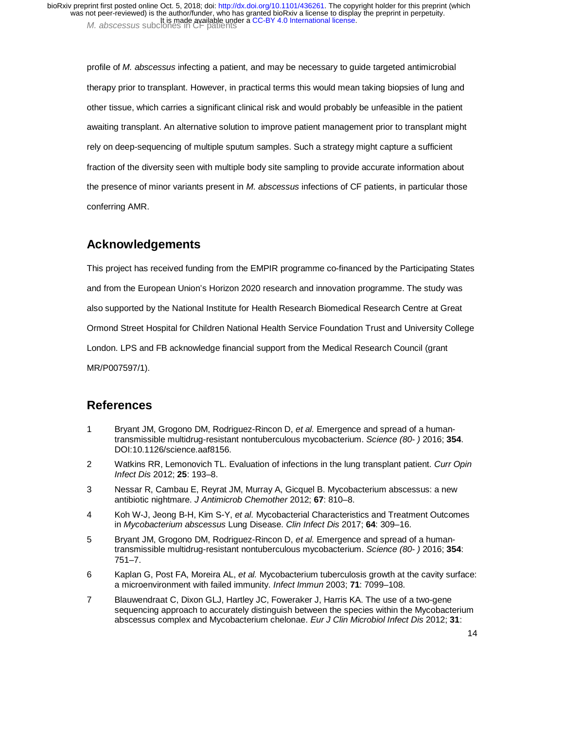profile of *M. abscessus* infecting a patient, and may be necessary to guide targeted antimicrobial therapy prior to transplant. However, in practical terms this would mean taking biopsies of lung and other tissue, which carries a significant clinical risk and would probably be unfeasible in the patient awaiting transplant. An alternative solution to improve patient management prior to transplant might rely on deep-sequencing of multiple sputum samples. Such a strategy might capture a sufficient fraction of the diversity seen with multiple body site sampling to provide accurate information about the presence of minor variants present in *M. abscessus* infections of CF patients, in particular those conferring AMR.

# **Acknowledgements**

This project has received funding from the EMPIR programme co-financed by the Participating States and from the European Union's Horizon 2020 research and innovation programme. The study was also supported by the National Institute for Health Research Biomedical Research Centre at Great Ormond Street Hospital for Children National Health Service Foundation Trust and University College London. LPS and FB acknowledge financial support from the Medical Research Council (grant MR/P007597/1).

## **References**

- 1 Bryant JM, Grogono DM, Rodriguez-Rincon D, *et al.* Emergence and spread of a humantransmissible multidrug-resistant nontuberculous mycobacterium. *Science (80- )* 2016; **354**. DOI:10.1126/science.aaf8156.
- 2 Watkins RR, Lemonovich TL. Evaluation of infections in the lung transplant patient. *Curr Opin Infect Dis* 2012; **25**: 193–8.
- 3 Nessar R, Cambau E, Reyrat JM, Murray A, Gicquel B. Mycobacterium abscessus: a new antibiotic nightmare. *J Antimicrob Chemother* 2012; **67**: 810–8.
- 4 Koh W-J, Jeong B-H, Kim S-Y, *et al.* Mycobacterial Characteristics and Treatment Outcomes in *Mycobacterium abscessus* Lung Disease. *Clin Infect Dis* 2017; **64**: 309–16.
- 5 Bryant JM, Grogono DM, Rodriguez-Rincon D, *et al.* Emergence and spread of a humantransmissible multidrug-resistant nontuberculous mycobacterium. *Science (80- )* 2016; **354**: 751–7.
- 6 Kaplan G, Post FA, Moreira AL, *et al.* Mycobacterium tuberculosis growth at the cavity surface: a microenvironment with failed immunity. *Infect Immun* 2003; **71**: 7099–108.
- 7 Blauwendraat C, Dixon GLJ, Hartley JC, Foweraker J, Harris KA. The use of a two-gene sequencing approach to accurately distinguish between the species within the Mycobacterium abscessus complex and Mycobacterium chelonae. *Eur J Clin Microbiol Infect Dis* 2012; **31**: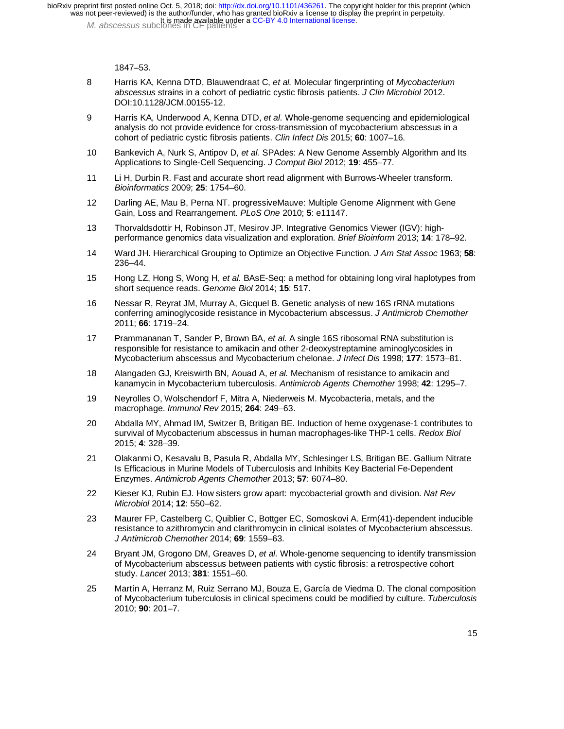1847–53.

- 8 Harris KA, Kenna DTD, Blauwendraat C, *et al.* Molecular fingerprinting of *Mycobacterium abscessus* strains in a cohort of pediatric cystic fibrosis patients. *J Clin Microbiol* 2012. DOI:10.1128/JCM.00155-12.
- 9 Harris KA, Underwood A, Kenna DTD, *et al.* Whole-genome sequencing and epidemiological analysis do not provide evidence for cross-transmission of mycobacterium abscessus in a cohort of pediatric cystic fibrosis patients. *Clin Infect Dis* 2015; **60**: 1007–16.
- 10 Bankevich A, Nurk S, Antipov D, *et al.* SPAdes: A New Genome Assembly Algorithm and Its Applications to Single-Cell Sequencing. *J Comput Biol* 2012; **19**: 455–77.
- 11 Li H, Durbin R. Fast and accurate short read alignment with Burrows-Wheeler transform. *Bioinformatics* 2009; **25**: 1754–60.
- 12 Darling AE, Mau B, Perna NT. progressiveMauve: Multiple Genome Alignment with Gene Gain, Loss and Rearrangement. *PLoS One* 2010; **5**: e11147.
- 13 Thorvaldsdottir H, Robinson JT, Mesirov JP. Integrative Genomics Viewer (IGV): highperformance genomics data visualization and exploration. *Brief Bioinform* 2013; **14**: 178–92.
- 14 Ward JH. Hierarchical Grouping to Optimize an Objective Function. *J Am Stat Assoc* 1963; **58**: 236–44.
- 15 Hong LZ, Hong S, Wong H, *et al.* BAsE-Seq: a method for obtaining long viral haplotypes from short sequence reads. *Genome Biol* 2014; **15**: 517.
- 16 Nessar R, Reyrat JM, Murray A, Gicquel B. Genetic analysis of new 16S rRNA mutations conferring aminoglycoside resistance in Mycobacterium abscessus. *J Antimicrob Chemother* 2011; **66**: 1719–24.
- 17 Prammananan T, Sander P, Brown BA, *et al.* A single 16S ribosomal RNA substitution is responsible for resistance to amikacin and other 2-deoxystreptamine aminoglycosides in Mycobacterium abscessus and Mycobacterium chelonae. *J Infect Dis* 1998; **177**: 1573–81.
- 18 Alangaden GJ, Kreiswirth BN, Aouad A, *et al.* Mechanism of resistance to amikacin and kanamycin in Mycobacterium tuberculosis. *Antimicrob Agents Chemother* 1998; **42**: 1295–7.
- 19 Neyrolles O, Wolschendorf F, Mitra A, Niederweis M. Mycobacteria, metals, and the macrophage. *Immunol Rev* 2015; **264**: 249–63.
- 20 Abdalla MY, Ahmad IM, Switzer B, Britigan BE. Induction of heme oxygenase-1 contributes to survival of Mycobacterium abscessus in human macrophages-like THP-1 cells. *Redox Biol* 2015; **4**: 328–39.
- 21 Olakanmi O, Kesavalu B, Pasula R, Abdalla MY, Schlesinger LS, Britigan BE. Gallium Nitrate Is Efficacious in Murine Models of Tuberculosis and Inhibits Key Bacterial Fe-Dependent Enzymes. *Antimicrob Agents Chemother* 2013; **57**: 6074–80.
- 22 Kieser KJ, Rubin EJ. How sisters grow apart: mycobacterial growth and division. *Nat Rev Microbiol* 2014; **12**: 550–62.
- 23 Maurer FP, Castelberg C, Quiblier C, Bottger EC, Somoskovi A. Erm(41)-dependent inducible resistance to azithromycin and clarithromycin in clinical isolates of Mycobacterium abscessus. *J Antimicrob Chemother* 2014; **69**: 1559–63.
- 24 Bryant JM, Grogono DM, Greaves D, *et al.* Whole-genome sequencing to identify transmission of Mycobacterium abscessus between patients with cystic fibrosis: a retrospective cohort study. *Lancet* 2013; **381**: 1551–60.
- 25 Martín A, Herranz M, Ruiz Serrano MJ, Bouza E, García de Viedma D. The clonal composition of Mycobacterium tuberculosis in clinical specimens could be modified by culture. *Tuberculosis* 2010; **90**: 201–7.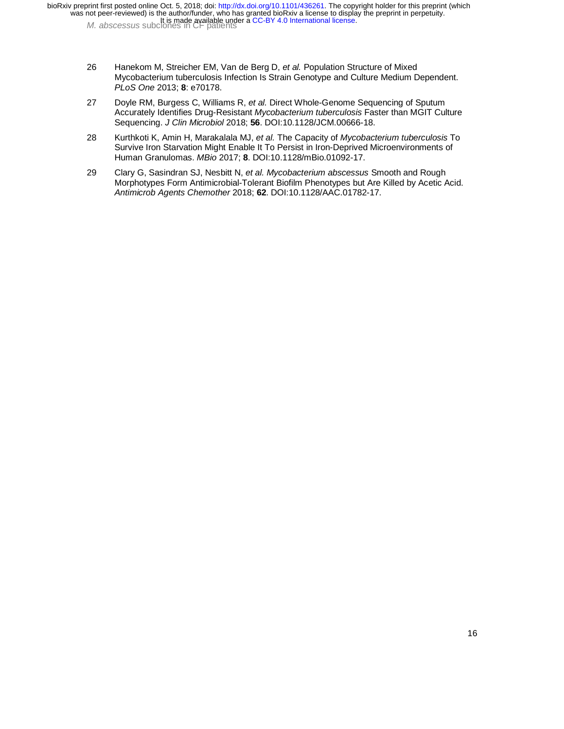- 26 Hanekom M, Streicher EM, Van de Berg D, *et al.* Population Structure of Mixed Mycobacterium tuberculosis Infection Is Strain Genotype and Culture Medium Dependent. *PLoS One* 2013; **8**: e70178.
- 27 Doyle RM, Burgess C, Williams R, *et al.* Direct Whole-Genome Sequencing of Sputum Accurately Identifies Drug-Resistant *Mycobacterium tuberculosis* Faster than MGIT Culture Sequencing. *J Clin Microbiol* 2018; **56**. DOI:10.1128/JCM.00666-18.
- 28 Kurthkoti K, Amin H, Marakalala MJ, *et al.* The Capacity of *Mycobacterium tuberculosis* To Survive Iron Starvation Might Enable It To Persist in Iron-Deprived Microenvironments of Human Granulomas. *MBio* 2017; **8**. DOI:10.1128/mBio.01092-17.
- 29 Clary G, Sasindran SJ, Nesbitt N, *et al. Mycobacterium abscessus* Smooth and Rough Morphotypes Form Antimicrobial-Tolerant Biofilm Phenotypes but Are Killed by Acetic Acid. *Antimicrob Agents Chemother* 2018; **62**. DOI:10.1128/AAC.01782-17.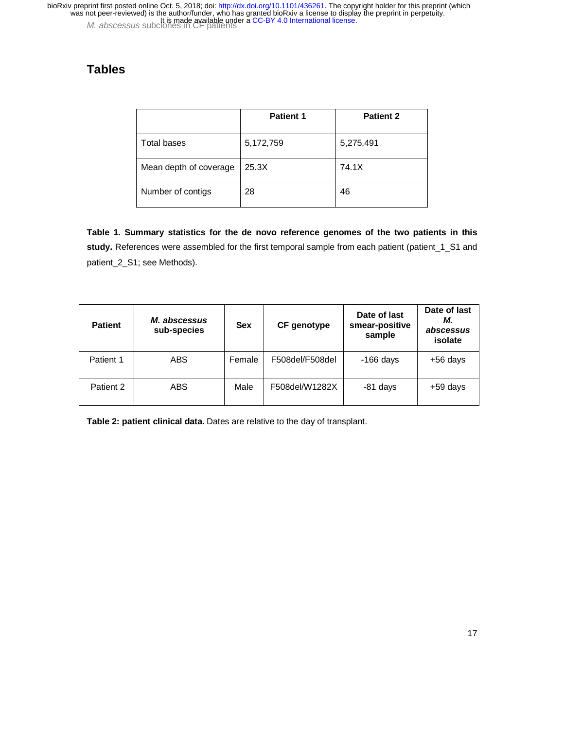# **Tables**

|                        | <b>Patient 1</b> | <b>Patient 2</b> |
|------------------------|------------------|------------------|
| Total bases            | 5,172,759        | 5,275,491        |
| Mean depth of coverage | 25.3X            | 74.1X            |
| Number of contigs      | 28               | 46               |

**Table 1. Summary statistics for the de novo reference genomes of the two patients in this study.** References were assembled for the first temporal sample from each patient (patient\_1\_S1 and patient\_2\_S1; see Methods).

| <b>Patient</b> | <i>M. abscessus</i><br>sub-species | <b>Sex</b> | CF genotype     | Date of last<br>smear-positive<br>sample | Date of last<br>М.<br>abscessus<br>isolate |
|----------------|------------------------------------|------------|-----------------|------------------------------------------|--------------------------------------------|
| Patient 1      | <b>ABS</b>                         | Female     | F508del/F508del | $-166$ days                              | $+56$ days                                 |
| Patient 2      | <b>ABS</b>                         | Male       | F508del/W1282X  | -81 days                                 | $+59$ days                                 |

**Table 2: patient clinical data**. Dates are relative to the day of transplant.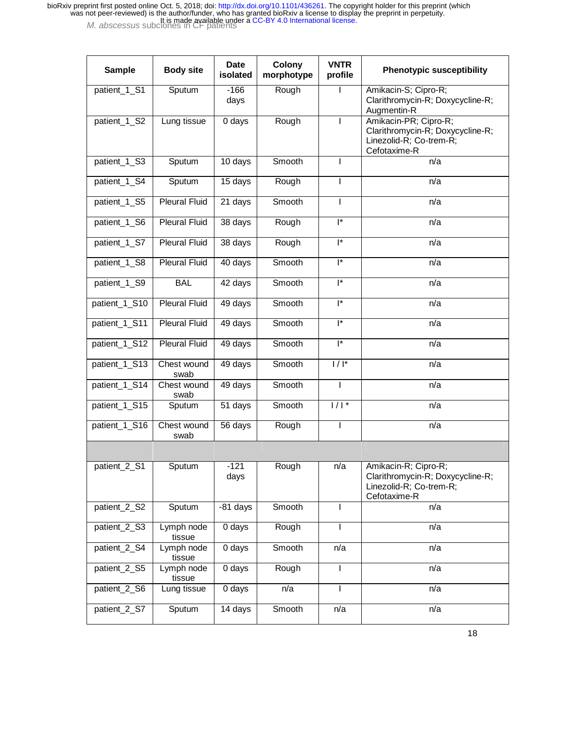| <b>Sample</b> | <b>Body site</b>     | <b>Date</b><br>isolated | Colony<br>morphotype | <b>VNTR</b><br>profile    | <b>Phenotypic susceptibility</b>                                                                     |
|---------------|----------------------|-------------------------|----------------------|---------------------------|------------------------------------------------------------------------------------------------------|
| patient_1_S1  | Sputum               | $-166$<br>days          | Rough                |                           | Amikacin-S; Cipro-R;<br>Clarithromycin-R; Doxycycline-R;<br>Augmentin-R                              |
| patient_1_S2  | Lung tissue          | 0 days                  | Rough                | L                         | Amikacin-PR; Cipro-R;<br>Clarithromycin-R; Doxycycline-R;<br>Linezolid-R; Co-trem-R;<br>Cefotaxime-R |
| patient_1_S3  | Sputum               | 10 days                 | Smooth               | L                         | n/a                                                                                                  |
| patient_1_S4  | Sputum               | 15 days                 | Rough                | L                         | n/a                                                                                                  |
| patient_1_S5  | <b>Pleural Fluid</b> | 21 days                 | Smooth               |                           | n/a                                                                                                  |
| patient_1_S6  | <b>Pleural Fluid</b> | 38 days                 | Rough                | $\mathsf{I}^*$            | n/a                                                                                                  |
| patient 1 S7  | <b>Pleural Fluid</b> | 38 days                 | Rough                | ľ                         | n/a                                                                                                  |
| patient 1_S8  | <b>Pleural Fluid</b> | 40 days                 | Smooth               | ľ                         | n/a                                                                                                  |
| patient_1_S9  | <b>BAL</b>           | 42 days                 | Smooth               | $\mathsf{I}^*$            | n/a                                                                                                  |
| patient_1_S10 | <b>Pleural Fluid</b> | 49 days                 | Smooth               | <sup>*</sup>              | n/a                                                                                                  |
| patient_1_S11 | <b>Pleural Fluid</b> | 49 days                 | Smooth               | $\overline{\mathsf{I}^*}$ | n/a                                                                                                  |
| patient_1_S12 | <b>Pleural Fluid</b> | 49 days                 | Smooth               | $\overline{\mathsf{I}^*}$ | n/a                                                                                                  |
| patient_1_S13 | Chest wound<br>swab  | 49 days                 | Smooth               | $1/I^*$                   | n/a                                                                                                  |
| patient_1_S14 | Chest wound<br>swab  | 49 days                 | Smooth               | L                         | n/a                                                                                                  |
| patient_1_S15 | Sputum               | $\overline{51}$ days    | Smooth               | $1/1$ <sup>*</sup>        | n/a                                                                                                  |
| patient_1_S16 | Chest wound<br>swab  | $\overline{56}$ days    | Rough                | L                         | n/a                                                                                                  |
|               |                      |                         |                      |                           |                                                                                                      |
| patient_2_S1  | Sputum               | $-121$<br>days          | Rough                | n/a                       | Amikacin-R; Cipro-R;<br>Clarithromycin-R; Doxycycline-R;<br>Linezolid-R; Co-trem-R;<br>Cefotaxime-R  |
| patient_2_S2  | Sputum               | -81 days                | Smooth               |                           | n/a                                                                                                  |
| patient 2 S3  | Lymph node<br>tissue | 0 days                  | Rough                |                           | n/a                                                                                                  |
| patient_2_S4  | Lymph node<br>tissue | 0 days                  | Smooth               | n/a                       | n/a                                                                                                  |
| patient_2_S5  | Lymph node<br>tissue | 0 days                  | Rough                | L                         | n/a                                                                                                  |
| patient_2_S6  | Lung tissue          | 0 days                  | n/a                  | L                         | n/a                                                                                                  |
| patient_2_S7  | Sputum               | 14 days                 | Smooth               | n/a                       | n/a                                                                                                  |